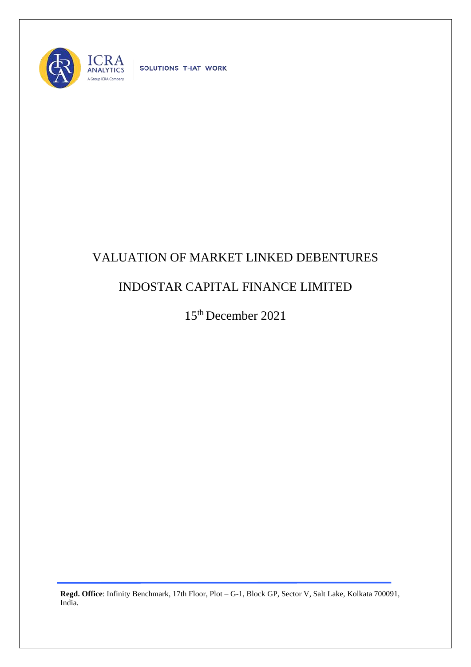

SOLUTIONS THAT WORK

## VALUATION OF MARKET LINKED DEBENTURES

## INDOSTAR CAPITAL FINANCE LIMITED

15th December 2021

**Regd. Office**: Infinity Benchmark, 17th Floor, Plot – G-1, Block GP, Sector V, Salt Lake, Kolkata 700091, India.